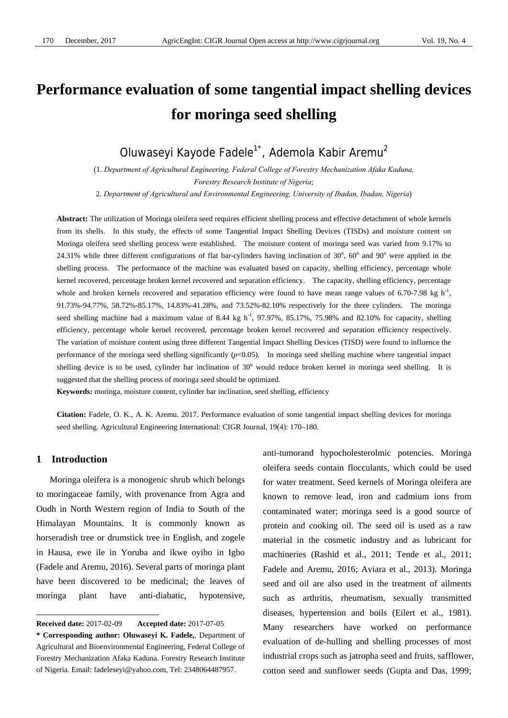# **Performance evaluation of some tangential impact shelling devices for moringa seed shelling**

Oluwaseyi Kayode Fadele<sup>1\*</sup>, Ademola Kabir Aremu<sup>2</sup>

(1. *Department of Agricultural Engineering, Federal College of Forestry Mechanization Afaka Kaduna, Forestry Research Institute of Nigeria*;

2. *Department of Agricultural and Environmental Engineering, University of Ibadan, Ibadan, Nigeria*)

**Abstract:** The utilization of Moringa oleifera seed requires efficient shelling process and effective detachment of whole kernels from its shells. In this study, the effects of some Tangential Impact Shelling Devices (TISDs) and moisture content on Moringa oleifera seed shelling process were established. The moisture content of moringa seed was varied from 9.17% to 24.31% while three different configurations of flat bar-cylinders having inclination of 30°, 60° and 90° were applied in the shelling process. The performance of the machine was evaluated based on capacity, shelling efficiency, percentage whole kernel recovered, percentage broken kernel recovered and separation efficiency. The capacity, shelling efficiency, percentage whole and broken kernels recovered and separation efficiency were found to have mean range values of 6.70-7.98 kg  $h^{-1}$ , 91.73%-94.77%, 58.72%-85.17%, 14.83%-41.28%, and 73.52%-82.10% respectively for the three cylinders. The moringa seed shelling machine had a maximum value of 8.44 kg h<sup>-1</sup>, 97.97%, 85.17%, 75.98% and 82.10% for capacity, shelling efficiency, percentage whole kernel recovered, percentage broken kernel recovered and separation efficiency respectively. The variation of moisture content using three different Tangential Impact Shelling Devices (TISD) were found to influence the performance of the moringa seed shelling significantly  $(p<0.05)$ . In moringa seed shelling machine where tangential impact shelling device is to be used, cylinder bar inclination of 30° would reduce broken kernel in moringa seed shelling. It is suggested that the shelling process of moringa seed should be optimized.

**Keywords:** moringa, moisture content, cylinder bar inclination, seed shelling, efficiency

**Citation:** Fadele, O. K., A. K. Aremu. 2017. Performance evaluation of some tangential impact shelling devices for moringa seed shelling. Agricultural Engineering International: CIGR Journal, 19(4): 170–180.

## **1 Introduction**

 $\overline{a}$ 

Moringa oleifera is a monogenic shrub which belongs to moringaceae family, with provenance from Agra and Oudh in North Western region of India to South of the Himalayan Mountains. It is commonly known as horseradish tree or drumstick tree in English, and zogele in Hausa, ewe ile in Yoruba and ikwe oyibo in Igbo (Fadele and Aremu, 2016). Several parts of moringa plant have been discovered to be medicinal; the leaves of moringa plant have anti-diabatic, hypotensive, anti-tumorand hypocholesterolmic potencies. Moringa oleifera seeds contain flocculants, which could be used for water treatment. Seed kernels of Moringa oleifera are known to remove lead, iron and cadmium ions from contaminated water; moringa seed is a good source of protein and cooking oil. The seed oil is used as a raw material in the cosmetic industry and as lubricant for machineries (Rashid et al., 2011; Tende et al., 2011; Fadele and Aremu, 2016; Aviara et al., 2013). Moringa seed and oil are also used in the treatment of ailments such as arthritis, rheumatism, sexually transmitted diseases, hypertension and boils (Eilert et al., 1981). Many researchers have worked on performance evaluation of de-hulling and shelling processes of most industrial crops such as jatropha seed and fruits, safflower, cotton seed and sunflower seeds (Gupta and Das, 1999;

**Received date:** 2017-02-09 **Accepted date:** 2017-07-05

**<sup>\*</sup> Corresponding author: Oluwaseyi K. Fadele,**, Department of Agricultural and Bioenvironmental Engineering, Federal College of Forestry Mechanization Afaka Kaduna. Forestry Research Institute of Nigeria. Email: fadeleseyi@yahoo.com, Tel: 2348064487957.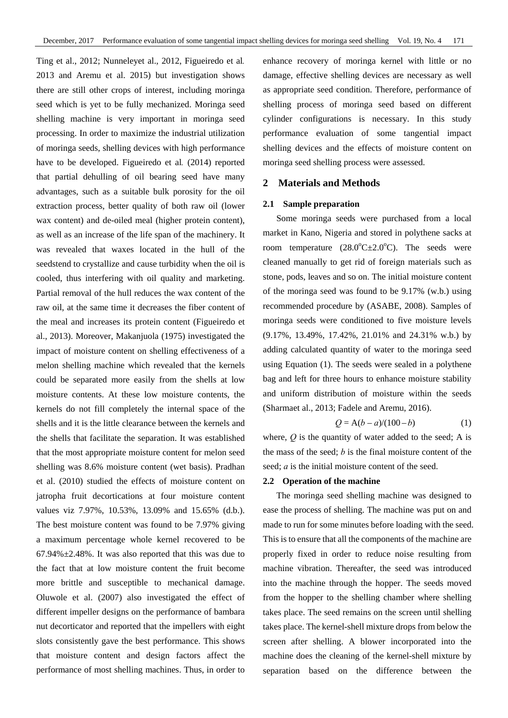Ting et al., 2012; Nunneleyet al., 2012, Figueiredo et al*.*  2013 and Aremu et al. 2015) but investigation shows there are still other crops of interest, including moringa seed which is yet to be fully mechanized. Moringa seed shelling machine is very important in moringa seed processing. In order to maximize the industrial utilization of moringa seeds, shelling devices with high performance have to be developed. Figueiredo et al*.* (2014) reported that partial dehulling of oil bearing seed have many advantages, such as a suitable bulk porosity for the oil extraction process, better quality of both raw oil (lower wax content) and de-oiled meal (higher protein content), as well as an increase of the life span of the machinery. It was revealed that waxes located in the hull of the seedstend to crystallize and cause turbidity when the oil is cooled, thus interfering with oil quality and marketing. Partial removal of the hull reduces the wax content of the raw oil, at the same time it decreases the fiber content of the meal and increases its protein content (Figueiredo et al., 2013). Moreover, Makanjuola (1975) investigated the impact of moisture content on shelling effectiveness of a melon shelling machine which revealed that the kernels could be separated more easily from the shells at low moisture contents. At these low moisture contents, the kernels do not fill completely the internal space of the shells and it is the little clearance between the kernels and the shells that facilitate the separation. It was established that the most appropriate moisture content for melon seed shelling was 8.6% moisture content (wet basis). Pradhan et al. (2010) studied the effects of moisture content on jatropha fruit decortications at four moisture content values viz 7.97%, 10.53%, 13.09% and 15.65% (d.b.). The best moisture content was found to be 7.97% giving a maximum percentage whole kernel recovered to be  $67.94\% \pm 2.48\%$ . It was also reported that this was due to the fact that at low moisture content the fruit become more brittle and susceptible to mechanical damage. Oluwole et al. (2007) also investigated the effect of different impeller designs on the performance of bambara nut decorticator and reported that the impellers with eight slots consistently gave the best performance. This shows that moisture content and design factors affect the performance of most shelling machines. Thus, in order to enhance recovery of moringa kernel with little or no damage, effective shelling devices are necessary as well as appropriate seed condition. Therefore, performance of shelling process of moringa seed based on different cylinder configurations is necessary. In this study performance evaluation of some tangential impact shelling devices and the effects of moisture content on moringa seed shelling process were assessed.

## **2 Materials and Methods**

#### **2.1 Sample preparation**

Some moringa seeds were purchased from a local market in Kano, Nigeria and stored in polythene sacks at room temperature  $(28.0^{\circ}C \pm 2.0^{\circ}C)$ . The seeds were cleaned manually to get rid of foreign materials such as stone, pods, leaves and so on. The initial moisture content of the moringa seed was found to be 9.17% (w.b.) using recommended procedure by (ASABE, 2008). Samples of moringa seeds were conditioned to five moisture levels (9.17%, 13.49%, 17.42%, 21.01% and 24.31% w.b.) by adding calculated quantity of water to the moringa seed using Equation (1). The seeds were sealed in a polythene bag and left for three hours to enhance moisture stability and uniform distribution of moisture within the seeds (Sharmaet al., 2013; Fadele and Aremu, 2016).

$$
Q = A(b - a)/(100 - b)
$$
 (1)

where, *Q* is the quantity of water added to the seed; A is the mass of the seed; *b* is the final moisture content of the seed; *a* is the initial moisture content of the seed.

## **2.2 Operation of the machine**

The moringa seed shelling machine was designed to ease the process of shelling. The machine was put on and made to run for some minutes before loading with the seed. This is to ensure that all the components of the machine are properly fixed in order to reduce noise resulting from machine vibration. Thereafter, the seed was introduced into the machine through the hopper. The seeds moved from the hopper to the shelling chamber where shelling takes place. The seed remains on the screen until shelling takes place. The kernel-shell mixture drops from below the screen after shelling. A blower incorporated into the machine does the cleaning of the kernel-shell mixture by separation based on the difference between the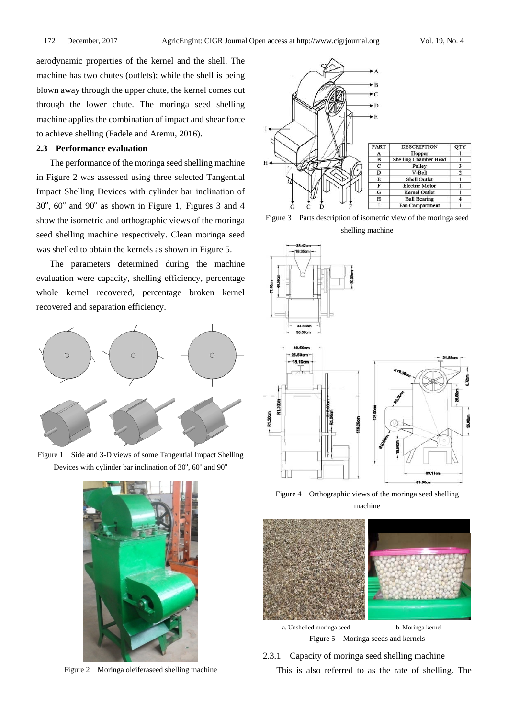aerodynamic properties of the kernel and the shell. The machine has two chutes (outlets); while the shell is being blown away through the upper chute, the kernel comes out through the lower chute. The moringa seed shelling machine applies the combination of impact and shear force to achieve shelling (Fadele and Aremu, 2016).

#### **2.3 Performance evaluation**

The performance of the moringa seed shelling machine in Figure 2 was assessed using three selected Tangential Impact Shelling Devices with cylinder bar inclination of  $30^{\circ}$ ,  $60^{\circ}$  and  $90^{\circ}$  as shown in Figure 1, Figures 3 and 4 show the isometric and orthographic views of the moringa seed shelling machine respectively. Clean moringa seed was shelled to obtain the kernels as shown in Figure 5.

The parameters determined during the machine evaluation were capacity, shelling efficiency, percentage whole kernel recovered, percentage broken kernel recovered and separation efficiency.



Figure 1 Side and 3-D views of some Tangential Impact Shelling Devices with cylinder bar inclination of  $30^{\circ}$ ,  $60^{\circ}$  and  $90^{\circ}$ 



Figure 2 Moringa oleiferaseed shelling machine



Figure 3 Parts description of isometric view of the moringa seed shelling machine



Figure 4 Orthographic views of the moringa seed shelling machine



a. Unshelled moringa seed b. Moringa kernel Figure 5 Moringa seeds and kernels

2.3.1 Capacity of moringa seed shelling machine This is also referred to as the rate of shelling. The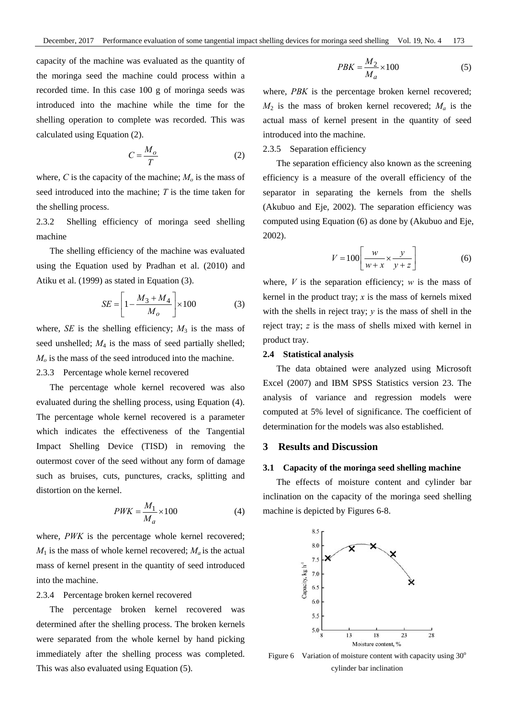capacity of the machine was evaluated as the quantity of the moringa seed the machine could process within a recorded time. In this case 100 g of moringa seeds was introduced into the machine while the time for the shelling operation to complete was recorded. This was calculated using Equation (2).

$$
C = \frac{M_o}{T}
$$
 (2)

where,  $C$  is the capacity of the machine;  $M<sub>o</sub>$  is the mass of seed introduced into the machine; *T* is the time taken for the shelling process.

2.3.2 Shelling efficiency of moringa seed shelling machine

The shelling efficiency of the machine was evaluated using the Equation used by Pradhan et al. (2010) and Atiku et al. (1999) as stated in Equation (3).

$$
SE = \left[1 - \frac{M_3 + M_4}{M_o}\right] \times 100\tag{3}
$$

where,  $SE$  is the shelling efficiency;  $M_3$  is the mass of seed unshelled; *M*4 is the mass of seed partially shelled; *Mo* is the mass of the seed introduced into the machine.

## 2.3.3Percentage whole kernel recovered

The percentage whole kernel recovered was also evaluated during the shelling process, using Equation (4). The percentage whole kernel recovered is a parameter which indicates the effectiveness of the Tangential Impact Shelling Device (TISD) in removing the outermost cover of the seed without any form of damage such as bruises, cuts, punctures, cracks, splitting and distortion on the kernel.

$$
PWK = \frac{M_1}{M_a} \times 100\tag{4}
$$

where, *PWK* is the percentage whole kernel recovered;  $M_1$  is the mass of whole kernel recovered;  $M_a$  is the actual mass of kernel present in the quantity of seed introduced into the machine.

## 2.3.4Percentage broken kernel recovered

The percentage broken kernel recovered was determined after the shelling process. The broken kernels were separated from the whole kernel by hand picking immediately after the shelling process was completed. This was also evaluated using Equation (5).

$$
PBK = \frac{M_2}{M_a} \times 100\tag{5}
$$

where, *PBK* is the percentage broken kernel recovered;  $M_2$  is the mass of broken kernel recovered;  $M_a$  is the actual mass of kernel present in the quantity of seed introduced into the machine.

## 2.3.5 Separation efficiency

The separation efficiency also known as the screening efficiency is a measure of the overall efficiency of the separator in separating the kernels from the shells (Akubuo and Eje, 2002). The separation efficiency was computed using Equation (6) as done by (Akubuo and Eje, 2002).

$$
V = 100 \left[ \frac{w}{w + x} \times \frac{y}{y + z} \right]
$$
 (6)

where,  $V$  is the separation efficiency;  $w$  is the mass of kernel in the product tray;  $x$  is the mass of kernels mixed with the shells in reject tray;  $y$  is the mass of shell in the reject tray; *z* is the mass of shells mixed with kernel in product tray.

## **2.4 Statistical analysis**

The data obtained were analyzed using Microsoft Excel (2007) and IBM SPSS Statistics version 23. The analysis of variance and regression models were computed at 5% level of significance. The coefficient of determination for the models was also established.

## **3 Results and Discussion**

#### **3.1 Capacity of the moringa seed shelling machine**

The effects of moisture content and cylinder bar inclination on the capacity of the moringa seed shelling machine is depicted by Figures 6-8.



Figure 6 Variation of moisture content with capacity using  $30^{\circ}$ cylinder bar inclination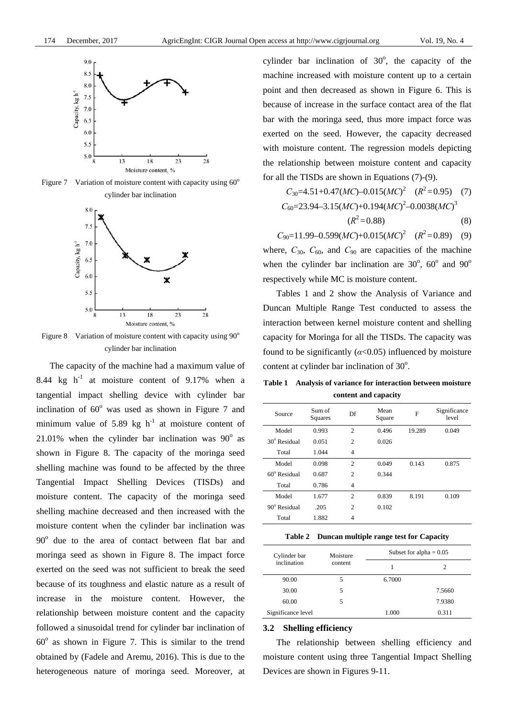

Figure 7 Variation of moisture content with capacity using  $60^{\circ}$ cylinder bar inclination



Figure 8 Variation of moisture content with capacity using  $90^\circ$ cylinder bar inclination

The capacity of the machine had a maximum value of 8.44 kg  $h^{-1}$  at moisture content of 9.17% when a tangential impact shelling device with cylinder bar inclination of  $60^{\circ}$  was used as shown in Figure 7 and minimum value of 5.89 kg  $h^{-1}$  at moisture content of 21.01% when the cylinder bar inclination was  $90^\circ$  as shown in Figure 8. The capacity of the moringa seed shelling machine was found to be affected by the three Tangential Impact Shelling Devices (TISDs) and moisture content. The capacity of the moringa seed shelling machine decreased and then increased with the moisture content when the cylinder bar inclination was 90° due to the area of contact between flat bar and moringa seed as shown in Figure 8. The impact force exerted on the seed was not sufficient to break the seed because of its toughness and elastic nature as a result of increase in the moisture content. However, the relationship between moisture content and the capacity followed a sinusoidal trend for cylinder bar inclination of  $60^\circ$  as shown in Figure 7. This is similar to the trend obtained by (Fadele and Aremu, 2016). This is due to the heterogeneous nature of moringa seed. Moreover, at

cylinder bar inclination of  $30^\circ$ , the capacity of the machine increased with moisture content up to a certain point and then decreased as shown in Figure 6. This is because of increase in the surface contact area of the flat bar with the moringa seed, thus more impact force was exerted on the seed. However, the capacity decreased with moisture content. The regression models depicting the relationship between moisture content and capacity for all the TISDs are shown in Equations (7)-(9).

$$
C_{30} = 4.51 + 0.47(MC) - 0.015(MC)^{2} \quad (R^{2} = 0.95) \quad (7)
$$
  
\n
$$
C_{60} = 23.94 - 3.15(MC) + 0.194(MC)^{2} - 0.0038(MC)^{3}
$$
  
\n
$$
(R^{2} = 0.88)
$$

 $C_{90}$ =11.99–0.599(*MC*)+0.015(*MC*)<sup>2</sup> ( $R$ <sup>2</sup>=0.89) (9)

where,  $C_{30}$ ,  $C_{60}$ , and  $C_{90}$  are capacities of the machine when the cylinder bar inclination are  $30^{\circ}$ ,  $60^{\circ}$  and  $90^{\circ}$ respectively while MC is moisture content.

Tables 1 and 2 show the Analysis of Variance and Duncan Multiple Range Test conducted to assess the interaction between kernel moisture content and shelling capacity for Moringa for all the TISDs. The capacity was found to be significantly  $(a<0.05)$  influenced by moisture content at cylinder bar inclination of  $30^\circ$ .

**Table 1 Analysis of variance for interaction between moisture content and capacity** 

| Source                | Sum of<br>Squares | Df             | Mean<br>Square | F      | Significance<br>level |
|-----------------------|-------------------|----------------|----------------|--------|-----------------------|
| Model                 | 0.993             | $\overline{2}$ | 0.496          | 19.289 | 0.049                 |
| $30^{\circ}$ Residual | 0.051             | $\overline{c}$ | 0.026          |        |                       |
| Total                 | 1.044             | $\overline{4}$ |                |        |                       |
| Model                 | 0.098             | $\overline{2}$ | 0.049          | 0.143  | 0.875                 |
| $60^{\circ}$ Residual | 0.687             | $\overline{c}$ | 0.344          |        |                       |
| Total                 | 0.786             | $\overline{4}$ |                |        |                       |
| Model                 | 1.677             | $\overline{c}$ | 0.839          | 8.191  | 0.109                 |
| $90^\circ$ Residual   | .205              | $\overline{c}$ | 0.102          |        |                       |
| Total                 | 1.882             | $\overline{4}$ |                |        |                       |

|  | Table 2 Duncan multiple range test for Capacity |
|--|-------------------------------------------------|
|--|-------------------------------------------------|

| Cylinder bar       | Moisture | Subset for alpha $= 0.05$ |        |  |
|--------------------|----------|---------------------------|--------|--|
| inclination        | content  |                           |        |  |
| 90.00              | 5        | 6.7000                    |        |  |
| 30.00              | 5        |                           | 7.5660 |  |
| 60.00              | 5        |                           | 7.9380 |  |
| Significance level |          | 1.000                     | 0.311  |  |

#### **3.2 Shelling efficiency**

The relationship between shelling efficiency and moisture content using three Tangential Impact Shelling Devices are shown in Figures 9-11.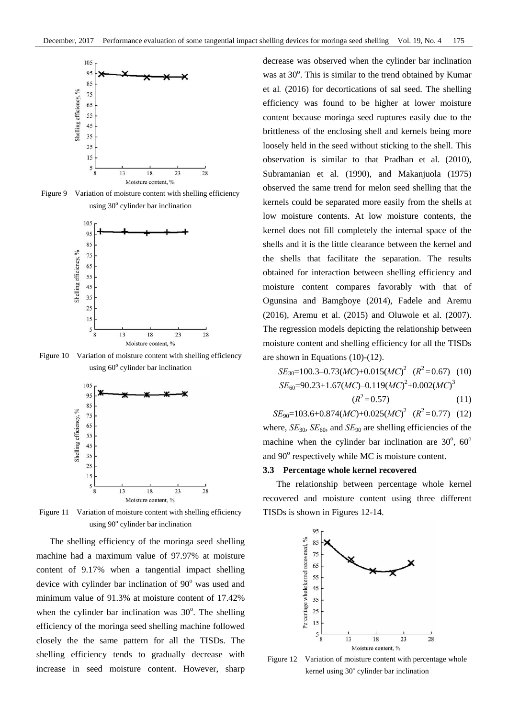

Figure 9 Variation of moisture content with shelling efficiency using 30° cylinder bar inclination



Figure 10 Variation of moisture content with shelling efficiency using 60° cylinder bar inclination



Figure 11 Variation of moisture content with shelling efficiency using 90° cylinder bar inclination

The shelling efficiency of the moringa seed shelling machine had a maximum value of 97.97% at moisture content of 9.17% when a tangential impact shelling device with cylinder bar inclination of  $90^\circ$  was used and minimum value of 91.3% at moisture content of 17.42% when the cylinder bar inclination was  $30^\circ$ . The shelling efficiency of the moringa seed shelling machine followed closely the the same pattern for all the TISDs. The shelling efficiency tends to gradually decrease with increase in seed moisture content. However, sharp

decrease was observed when the cylinder bar inclination was at 30°. This is similar to the trend obtained by Kumar et al*.* (2016) for decortications of sal seed. The shelling efficiency was found to be higher at lower moisture content because moringa seed ruptures easily due to the brittleness of the enclosing shell and kernels being more loosely held in the seed without sticking to the shell. This observation is similar to that Pradhan et al. (2010), Subramanian et al. (1990), and Makanjuola (1975) observed the same trend for melon seed shelling that the kernels could be separated more easily from the shells at low moisture contents. At low moisture contents, the kernel does not fill completely the internal space of the shells and it is the little clearance between the kernel and the shells that facilitate the separation. The results obtained for interaction between shelling efficiency and moisture content compares favorably with that of Ogunsina and Bamgboye (2014), Fadele and Aremu (2016), Aremu et al. (2015) and Oluwole et al. (2007). The regression models depicting the relationship between moisture content and shelling efficiency for all the TISDs are shown in Equations (10)-(12).

$$
SE_{30} = 100.3 - 0.73(MC) + 0.015(MC)^{2} \quad (R^{2} = 0.67) \quad (10)
$$
  

$$
SE_{60} = 90.23 + 1.67(MC) - 0.119(MC)^{2} + 0.002(MC)^{3}
$$
  

$$
(R^{2} = 0.57) \quad (11)
$$

 $SE_{90}$ =103.6+0.874(*MC*)+0.025(*MC*)<sup>2</sup> ( $R^2$ =0.77) (12) where,  $SE_{30}$ ,  $SE_{60}$ , and  $SE_{90}$  are shelling efficiencies of the machine when the cylinder bar inclination are  $30^{\circ}$ ,  $60^{\circ}$ and 90° respectively while MC is moisture content.

#### **3.3 Percentage whole kernel recovered**

The relationship between percentage whole kernel recovered and moisture content using three different TISDs is shown in Figures 12-14.



Figure 12 Variation of moisture content with percentage whole kernel using 30° cylinder bar inclination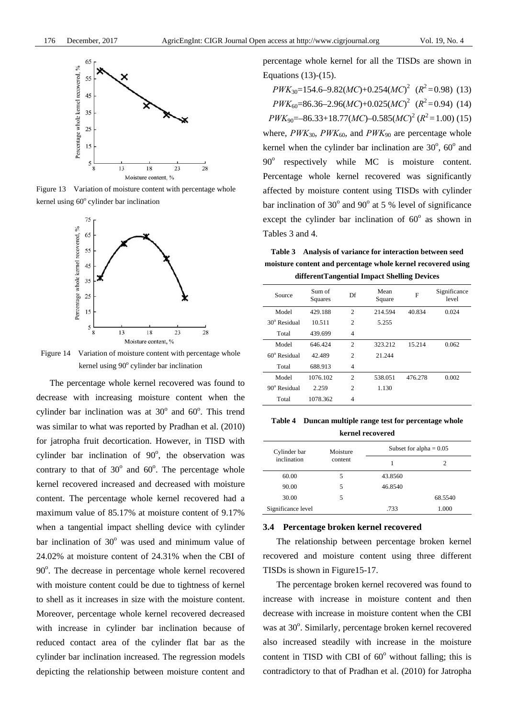

Figure 13 Variation of moisture content with percentage whole kernel using  $60^{\circ}$  cylinder bar inclination



Figure 14 Variation of moisture content with percentage whole kernel using 90° cylinder bar inclination

The percentage whole kernel recovered was found to decrease with increasing moisture content when the cylinder bar inclination was at  $30^{\circ}$  and  $60^{\circ}$ . This trend was similar to what was reported by Pradhan et al. (2010) for jatropha fruit decortication. However, in TISD with cylinder bar inclination of  $90^\circ$ , the observation was contrary to that of  $30^{\circ}$  and  $60^{\circ}$ . The percentage whole kernel recovered increased and decreased with moisture content. The percentage whole kernel recovered had a maximum value of 85.17% at moisture content of 9.17% when a tangential impact shelling device with cylinder bar inclination of  $30^{\circ}$  was used and minimum value of 24.02% at moisture content of 24.31% when the CBI of 90°. The decrease in percentage whole kernel recovered with moisture content could be due to tightness of kernel to shell as it increases in size with the moisture content. Moreover, percentage whole kernel recovered decreased with increase in cylinder bar inclination because of reduced contact area of the cylinder flat bar as the cylinder bar inclination increased. The regression models depicting the relationship between moisture content and

percentage whole kernel for all the TISDs are shown in Equations (13)-(15).

 $PWK_{30} = 154.6 - 9.82(MC) + 0.254(MC)^2$  ( $R^2 = 0.98$ ) (13)  $PWK_{60} = 86.36 - 2.96(MC) + 0.025(MC)^{2}$  ( $R^{2} = 0.94$ ) (14)  $PWK_{90} = -86.33 + 18.77(MC) - 0.585(MC)^{2}$  ( $R^{2} = 1.00$ ) (15) where,  $PWK_{30}$ ,  $PWK_{60}$ , and  $PWK_{90}$  are percentage whole kernel when the cylinder bar inclination are  $30^{\circ}$ ,  $60^{\circ}$  and 90<sup>°</sup> respectively while MC is moisture content. Percentage whole kernel recovered was significantly affected by moisture content using TISDs with cylinder bar inclination of  $30^{\circ}$  and  $90^{\circ}$  at 5 % level of significance except the cylinder bar inclination of  $60^\circ$  as shown in Tables 3 and 4.

**Table 3 Analysis of variance for interaction between seed moisture content and percentage whole kernel recovered using differentTangential Impact Shelling Devices** 

| Source                | Sum of<br>Squares | Df             | Mean<br>Square | F       | Significance<br>level |
|-----------------------|-------------------|----------------|----------------|---------|-----------------------|
| Model                 | 429.188           | $\overline{c}$ | 214.594        | 40.834  | 0.024                 |
| $30^{\circ}$ Residual | 10.511            | $\overline{c}$ | 5.255          |         |                       |
| Total                 | 439.699           | $\overline{4}$ |                |         |                       |
| Model                 | 646.424           | $\overline{c}$ | 323.212        | 15.214  | 0.062                 |
| $60^{\circ}$ Residual | 42.489            | $\overline{c}$ | 21.244         |         |                       |
| Total                 | 688.913           | 4              |                |         |                       |
| Model                 | 1076.102          | $\overline{c}$ | 538.051        | 476.278 | 0.002                 |
| $90^\circ$ Residual   | 2.259             | $\overline{c}$ | 1.130          |         |                       |
| Total                 | 1078.362          | $\overline{4}$ |                |         |                       |

**Table 4 Duncan multiple range test for percentage whole kernel recovered** 

| Cylinder bar       | Moisture | Subset for alpha $= 0.05$ |         |  |
|--------------------|----------|---------------------------|---------|--|
| inclination        | content  |                           | 2       |  |
| 60.00              | 5        | 43.8560                   |         |  |
| 90.00              | 5        | 46.8540                   |         |  |
| 30.00              | 5        |                           | 68.5540 |  |
| Significance level |          | .733                      | 1.000   |  |

## **3.4 Percentage broken kernel recovered**

The relationship between percentage broken kernel recovered and moisture content using three different TISDs is shown in Figure15-17.

The percentage broken kernel recovered was found to increase with increase in moisture content and then decrease with increase in moisture content when the CBI was at 30°. Similarly, percentage broken kernel recovered also increased steadily with increase in the moisture content in TISD with CBI of  $60^\circ$  without falling; this is contradictory to that of Pradhan et al. (2010) for Jatropha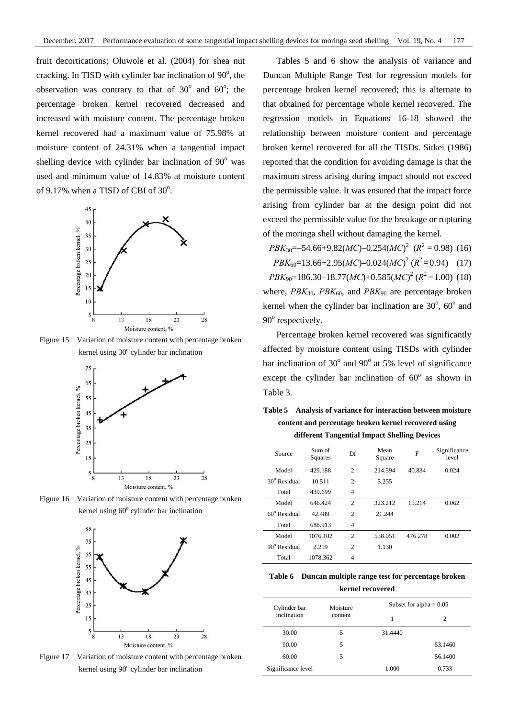fruit decortications; Oluwole et al. (2004) for shea nut cracking. In TISD with cylinder bar inclination of  $90^\circ$ , the observation was contrary to that of  $30^{\circ}$  and  $60^{\circ}$ ; the percentage broken kernel recovered decreased and increased with moisture content. The percentage broken kernel recovered had a maximum value of 75.98% at moisture content of 24.31% when a tangential impact shelling device with cylinder bar inclination of  $90^\circ$  was used and minimum value of 14.83% at moisture content of  $9.17\%$  when a TISD of CBI of  $30^\circ$ .



Figure 15 Variation of moisture content with percentage broken kernel using 30° cylinder bar inclination







Figure 17 Variation of moisture content with percentage broken kernel using 90° cylinder bar inclination

Tables 5 and 6 show the analysis of variance and Duncan Multiple Range Test for regression models for percentage broken kernel recovered; this is alternate to that obtained for percentage whole kernel recovered. The regression models in Equations 16-18 showed the relationship between moisture content and percentage broken kernel recovered for all the TISDs. Sitkei (1986) reported that the condition for avoiding damage is that the maximum stress arising during impact should not exceed the permissible value. It was ensured that the impact force arising from cylinder bar at the design point did not exceed the permissible value for the breakage or rupturing of the moringa shell without damaging the kernel.

 $PBK_{30} = -54.66 + 9.82(MC) - 0.254(MC)^{2}$  ( $R^{2} = 0.98$ ) (16)  $PBK_{60} = 13.66 + 2.95(MC) - 0.024(MC)^{2} (R^{2} = 0.94)$  (17)  $PBK_{90} = 186.30 - 18.77(MC) + 0.585(MC)^{2}$  ( $R^{2} = 1.00$ ) (18) where,  $PBK_{30}$ ,  $PBK_{60}$ , and  $PBK_{90}$  are percentage broken kernel when the cylinder bar inclination are  $30^{\circ}$ ,  $60^{\circ}$  and 90° respectively.

Percentage broken kernel recovered was significantly affected by moisture content using TISDs with cylinder bar inclination of  $30^{\circ}$  and  $90^{\circ}$  at 5% level of significance except the cylinder bar inclination of  $60^\circ$  as shown in Table 3.

**Table 5 Analysis of variance for interaction between moisture content and percentage broken kernel recovered using different Tangential Impact Shelling Devices** 

| Source                | Sum of<br>Squares | Df             | Mean<br>Square | F       | Significance<br>level |
|-----------------------|-------------------|----------------|----------------|---------|-----------------------|
| Model                 | 429.188           | 2              | 214.594        | 40.834  | 0.024                 |
| $30^{\circ}$ Residual | 10.511            | $\overline{c}$ | 5.255          |         |                       |
| Total                 | 439.699           | $\overline{4}$ |                |         |                       |
| Model                 | 646.424           | $\mathfrak{D}$ | 323.212        | 15.214  | 0.062                 |
| $60^{\circ}$ Residual | 42.489            | $\overline{c}$ | 21.244         |         |                       |
| Total                 | 688.913           | $\overline{4}$ |                |         |                       |
| Model                 | 1076.102          | $\overline{c}$ | 538.051        | 476.278 | 0.002                 |
| $90^\circ$ Residual   | 2.259             | $\overline{c}$ | 1.130          |         |                       |
| Total                 | 1078.362          | 4              |                |         |                       |

**Table 6 Duncan multiple range test for percentage broken kernel recovered** 

| Cylinder bar<br>inclination | Moisture | Subset for alpha $= 0.05$ |         |  |
|-----------------------------|----------|---------------------------|---------|--|
|                             | content  |                           |         |  |
| 30.00                       | 5        | 31.4440                   |         |  |
| 90.00                       | 5        |                           | 53.1460 |  |
| 60.00                       | 5        |                           | 56.1400 |  |
| Significance level          |          | 1.000                     | 0.733   |  |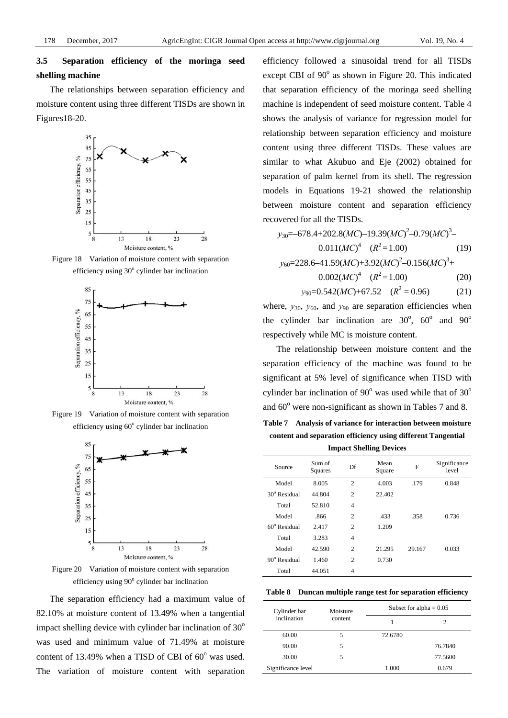## **3.5 Separation efficiency of the moringa seed shelling machine**

The relationships between separation efficiency and moisture content using three different TISDs are shown in Figures18-20.



Figure 18 Variation of moisture content with separation efficiency using 30° cylinder bar inclination



Figure 19 Variation of moisture content with separation efficiency using 60° cylinder bar inclination



Figure 20 Variation of moisture content with separation efficiency using 90° cylinder bar inclination

The separation efficiency had a maximum value of 82.10% at moisture content of 13.49% when a tangential impact shelling device with cylinder bar inclination of  $30^{\circ}$ was used and minimum value of 71.49% at moisture content of  $13.49\%$  when a TISD of CBI of  $60^\circ$  was used. The variation of moisture content with separation

efficiency followed a sinusoidal trend for all TISDs except CBI of 90° as shown in Figure 20. This indicated that separation efficiency of the moringa seed shelling machine is independent of seed moisture content. Table 4 shows the analysis of variance for regression model for relationship between separation efficiency and moisture content using three different TISDs. These values are similar to what Akubuo and Eje (2002) obtained for separation of palm kernel from its shell. The regression models in Equations 19-21 showed the relationship between moisture content and separation efficiency recovered for all the TISDs.

*y*<sub>30</sub>=–678.4+202.8(*MC*)–19.39(*MC*)<sup>2</sup>–0.79(*MC*)<sup>3</sup>–  $0.011(MC)^4$   $(R^2=1.00)$  (19) *y*60=228.6–41.59(*MC*)+3.92(*MC*) 2 –0.156(*MC*) 3 +

$$
0.002(MC)^4 \quad (R^2 = 1.00) \tag{20}
$$

$$
y_{90}
$$
=0.542(*MC*)+67.52 ( $R^2$  = 0.96) (21)

where,  $y_{30}$ ,  $y_{60}$ , and  $y_{90}$  are separation efficiencies when the cylinder bar inclination are  $30^\circ$ ,  $60^\circ$  and  $90^\circ$ respectively while MC is moisture content.

The relationship between moisture content and the separation efficiency of the machine was found to be significant at 5% level of significance when TISD with cylinder bar inclination of  $90^{\circ}$  was used while that of  $30^{\circ}$ and  $60^{\circ}$  were non-significant as shown in Tables 7 and 8.

**Table 7 Analysis of variance for interaction between moisture content and separation efficiency using different Tangential Impact Shelling Devices** 

| Source                | Sum of<br>Squares | Df             | Mean<br>Square | F      | Significance<br>level |
|-----------------------|-------------------|----------------|----------------|--------|-----------------------|
| Model                 | 8.005             | $\overline{2}$ | 4.003          | .179   | 0.848                 |
| $30^{\circ}$ Residual | 44.804            | $\overline{c}$ | 22.402         |        |                       |
| Total                 | 52.810            | $\overline{4}$ |                |        |                       |
| Model                 | .866              | $\overline{c}$ | .433           | .358   | 0.736                 |
| $60^{\circ}$ Residual | 2.417             | $\overline{c}$ | 1.209          |        |                       |
| Total                 | 3.283             | 4              |                |        |                       |
| Model                 | 42.590            | $\overline{c}$ | 21.295         | 29.167 | 0.033                 |
| $90^\circ$ Residual   | 1.460             | $\overline{c}$ | 0.730          |        |                       |
| Total                 | 44.051            | $\overline{4}$ |                |        |                       |

**Table 8 Duncan multiple range test for separation efficiency** 

| Cylinder bar<br>inclination | Moisture | Subset for alpha $= 0.05$ |         |  |
|-----------------------------|----------|---------------------------|---------|--|
|                             | content  |                           |         |  |
| 60.00                       | 5        | 72.6780                   |         |  |
| 90.00                       | 5        |                           | 76.7840 |  |
| 30.00                       | 5        |                           | 77.5600 |  |
| Significance level          |          | 1.000                     | 0.679   |  |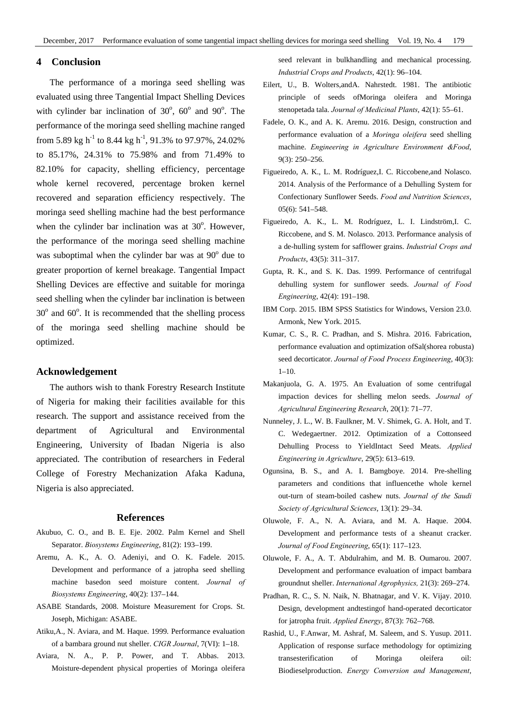## **4 Conclusion**

The performance of a moringa seed shelling was evaluated using three Tangential Impact Shelling Devices with cylinder bar inclination of  $30^{\circ}$ ,  $60^{\circ}$  and  $90^{\circ}$ . The performance of the moringa seed shelling machine ranged from 5.89 kg h<sup>-1</sup> to 8.44 kg h<sup>-1</sup>, 91.3% to 97.97%, 24.02% to 85.17%, 24.31% to 75.98% and from 71.49% to 82.10% for capacity, shelling efficiency, percentage whole kernel recovered, percentage broken kernel recovered and separation efficiency respectively. The moringa seed shelling machine had the best performance when the cylinder bar inclination was at  $30^\circ$ . However, the performance of the moringa seed shelling machine was suboptimal when the cylinder bar was at  $90^\circ$  due to greater proportion of kernel breakage. Tangential Impact Shelling Devices are effective and suitable for moringa seed shelling when the cylinder bar inclination is between  $30^{\circ}$  and  $60^{\circ}$ . It is recommended that the shelling process of the moringa seed shelling machine should be optimized.

## **Acknowledgement**

The authors wish to thank Forestry Research Institute of Nigeria for making their facilities available for this research. The support and assistance received from the department of Agricultural and Environmental Engineering, University of Ibadan Nigeria is also appreciated. The contribution of researchers in Federal College of Forestry Mechanization Afaka Kaduna, Nigeria is also appreciated.

## **References**

- Akubuo, C. O., and B. E. Eje. 2002. Palm Kernel and Shell Separator. *Biosystems Engineering*, 81(2): 193–199.
- Aremu, A. K., A. O. Adeniyi, and O. K. Fadele. 2015. Development and performance of a jatropha seed shelling machine basedon seed moisture content. *Journal of Biosystems Engineering*, 40(2): 137–144.
- ASABE Standards, 2008. Moisture Measurement for Crops. St. Joseph, Michigan: ASABE.
- Atiku,A., N. Aviara, and M. Haque. 1999. Performance evaluation of a bambara ground nut sheller. *CIGR Journal*, 7(VI): 1–18.
- Aviara, N. A., P. P. Power, and T. Abbas. 2013. Moisture-dependent physical properties of Moringa oleifera

seed relevant in bulkhandling and mechanical processing. *Industrial Crops and Products*, 42(1): 96–104.

- Eilert, U., B. Wolters,andA. Nahrstedt. 1981. The antibiotic principle of seeds ofMoringa oleifera and Moringa stenopetada tala. *Journal of Medicinal Plants*, 42(1): 55–61.
- Fadele, O. K., and A. K. Aremu. 2016. Design, construction and performance evaluation of a *Moringa oleifera* seed shelling machine. *Engineering in Agriculture Environment &Food*, 9(3): 250–256.
- Figueiredo, A. K., L. M. Rodríguez,I. C. Riccobene,and Nolasco. 2014. Analysis of the Performance of a Dehulling System for Confectionary Sunflower Seeds. *Food and Nutrition Sciences*, 05(6): 541–548.
- Figueiredo, A. K., L. M. Rodríguez, L. I. Lindström,I. C. Riccobene, and S. M. Nolasco. 2013. Performance analysis of a de-hulling system for safflower grains. *Industrial Crops and Products*, 43(5): 311–317.
- Gupta, R. K., and S. K. Das. 1999. Performance of centrifugal dehulling system for sunflower seeds. *Journal of Food Engineering*, 42(4): 191–198.
- IBM Corp. 2015. IBM SPSS Statistics for Windows, Version 23.0. Armonk, New York. 2015.
- Kumar, C. S., R. C. Pradhan, and S. Mishra. 2016. Fabrication, performance evaluation and optimization ofSal(shorea robusta) seed decorticator. *Journal of Food Process Engineering*, 40(3):  $1-10.$
- Makanjuola, G. A. 1975. An Evaluation of some centrifugal impaction devices for shelling melon seeds. *Journal of Agricultural Engineering Research*, 20(1): 71–77.
- Nunneley, J. L., W. B. Faulkner, M. V. Shimek, G. A. Holt, and T. C. Wedegaertner. 2012. Optimization of a Cottonseed Dehulling Process to YieldIntact Seed Meats. *Applied Engineering in Agriculture*, 29(5): 613–619.
- Ogunsina, B. S., and A. I. Bamgboye. 2014. Pre-shelling parameters and conditions that influencethe whole kernel out-turn of steam-boiled cashew nuts. *Journal of the Saudi Society of Agricultural Sciences*, 13(1): 29–34.
- Oluwole, F. A., N. A. Aviara, and M. A. Haque. 2004. Development and performance tests of a sheanut cracker. *Journal of Food Engineering*, 65(1): 117–123.
- Oluwole, F. A., A. T. Abdulrahim, and M. B. Oumarou. 2007. Development and performance evaluation of impact bambara groundnut sheller. *International Agrophysics,* 21(3): 269–274.
- Pradhan, R. C., S. N. Naik, N. Bhatnagar, and V. K. Vijay. 2010. Design, development andtestingof hand-operated decorticator for jatropha fruit. *Applied Energy*, 87(3): 762–768.
- Rashid, U., F.Anwar, M. Ashraf, M. Saleem, and S. Yusup. 2011. Application of response surface methodology for optimizing transesterification of Moringa oleifera oil: Biodieselproduction. *Energy Conversion and Management*,